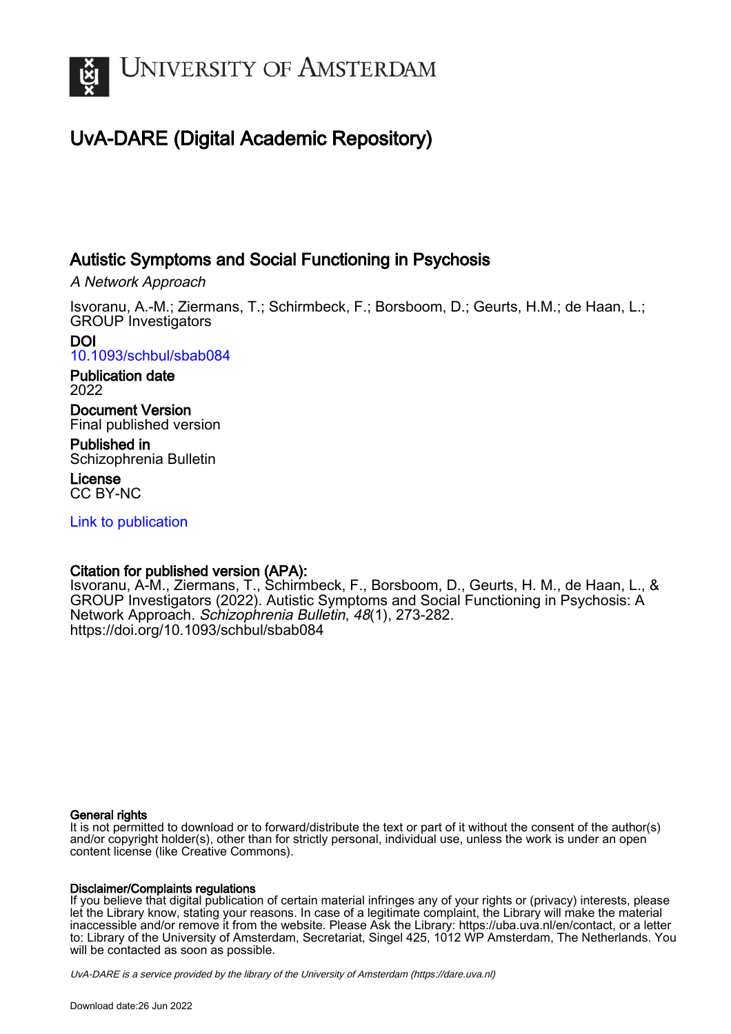

# UvA-DARE (Digital Academic Repository)

# Autistic Symptoms and Social Functioning in Psychosis

A Network Approach

Isvoranu, A.-M.; Ziermans, T.; Schirmbeck, F.; Borsboom, D.; Geurts, H.M.; de Haan, L.; GROUP Investigators

DOI [10.1093/schbul/sbab084](https://doi.org/10.1093/schbul/sbab084)

Publication date 2022

Document Version Final published version

Published in Schizophrenia Bulletin

License CC BY-NC

[Link to publication](https://dare.uva.nl/personal/pure/en/publications/autistic-symptoms-and-social-functioning-in-psychosis(4b4cffe6-3adf-4bd4-95f8-b6d3d8f7d1b0).html)

# Citation for published version (APA):

Isvoranu, A-M., Ziermans, T., Schirmbeck, F., Borsboom, D., Geurts, H. M., de Haan, L., & GROUP Investigators (2022). Autistic Symptoms and Social Functioning in Psychosis: A Network Approach. Schizophrenia Bulletin, 48(1), 273-282. <https://doi.org/10.1093/schbul/sbab084>

#### General rights

It is not permitted to download or to forward/distribute the text or part of it without the consent of the author(s) and/or copyright holder(s), other than for strictly personal, individual use, unless the work is under an open content license (like Creative Commons).

#### Disclaimer/Complaints regulations

If you believe that digital publication of certain material infringes any of your rights or (privacy) interests, please let the Library know, stating your reasons. In case of a legitimate complaint, the Library will make the material inaccessible and/or remove it from the website. Please Ask the Library: https://uba.uva.nl/en/contact, or a letter to: Library of the University of Amsterdam, Secretariat, Singel 425, 1012 WP Amsterdam, The Netherlands. You will be contacted as soon as possible.

UvA-DARE is a service provided by the library of the University of Amsterdam (http*s*://dare.uva.nl)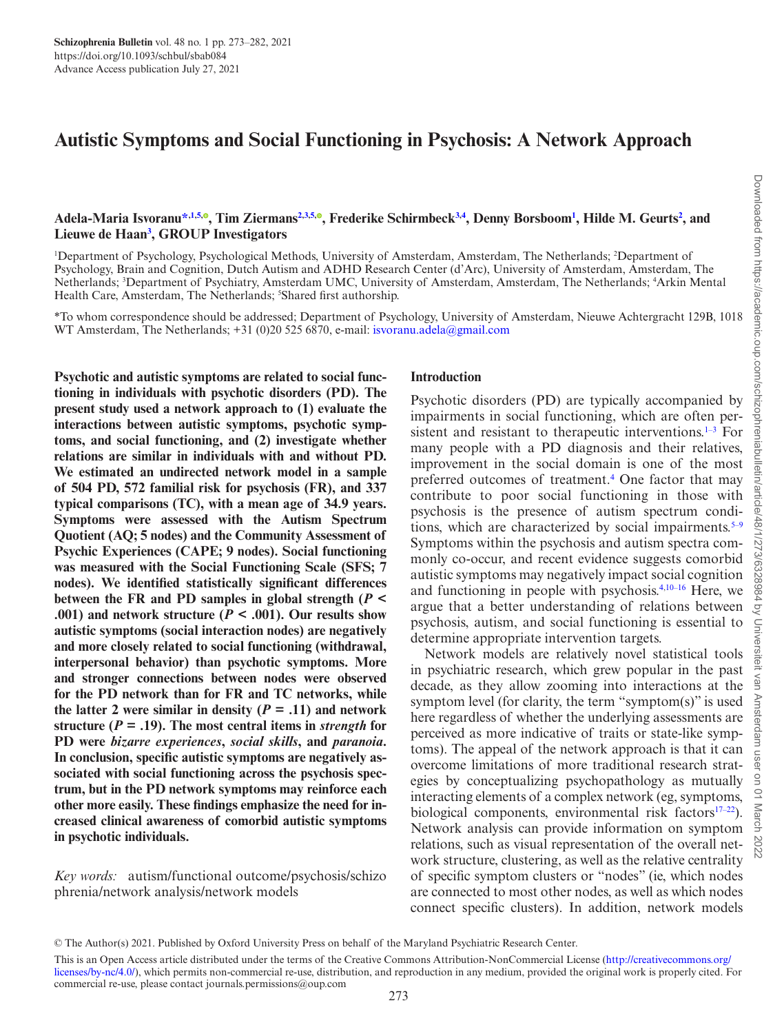# **Autistic Symptoms and Social Functioning in Psychosis: A Network Approach**

#### Adela-Maria Isvoranu[\\*](#page-1-0)<sup>[,1](#page-1-1)[,5](#page-1-2)[,](https://orcid.org/0000-0001-5224-1365)0</sup>, Tim Ziermans<sup>[2](#page-1-3)[,3,](#page-1-4)[5](#page-1-2),0</sup>, Frederike Schirmbeck<sup>3,[4](#page-1-5)</sup>, Denny Borsboom<sup>1</sup>, Hilde M. Geurts<sup>2</sup>, and **Lieuwe de Haan[3](#page-1-4) , GROUP Investigators**

<span id="page-1-5"></span><span id="page-1-4"></span><span id="page-1-3"></span><span id="page-1-1"></span><sup>1</sup>Department of Psychology, Psychological Methods, University of Amsterdam, Amsterdam, The Netherlands; <sup>2</sup>Department of Psychology, Brain and Cognition, Dutch Autism and ADHD Research Center (d'Arc), University of Amsterdam, Amsterdam, The Netherlands; <sup>3</sup>Department of Psychiatry, Amsterdam UMC, University of Amsterdam, Amsterdam, The Netherlands; <sup>4</sup>Arkin Mental Health Care, Amsterdam, The Netherlands; <sup>5</sup>Shared first authorship.

<span id="page-1-2"></span><span id="page-1-0"></span>\*To whom correspondence should be addressed; Department of Psychology, University of Amsterdam, Nieuwe Achtergracht 129B, 1018 WT Amsterdam, The Netherlands; +31 (0)20 525 6870, e-mail: [isvoranu.adela@gmail.com](mailto:isvoranu.adela@gmail.com?subject=)

**Psychotic and autistic symptoms are related to social functioning in individuals with psychotic disorders (PD). The present study used a network approach to (1) evaluate the interactions between autistic symptoms, psychotic symptoms, and social functioning, and (2) investigate whether relations are similar in individuals with and without PD. We estimated an undirected network model in a sample of 504 PD, 572 familial risk for psychosis (FR), and 337 typical comparisons (TC), with a mean age of 34.9 years. Symptoms were assessed with the Autism Spectrum Quotient (AQ; 5 nodes) and the Community Assessment of Psychic Experiences (CAPE; 9 nodes). Social functioning was measured with the Social Functioning Scale (SFS; 7 nodes). We identified statistically significant differences between the FR and PD samples in global strength (***P* **<**  .001) and network structure ( $P < .001$ ). Our results show **autistic symptoms (social interaction nodes) are negatively and more closely related to social functioning (withdrawal, interpersonal behavior) than psychotic symptoms. More and stronger connections between nodes were observed for the PD network than for FR and TC networks, while**  the latter 2 were similar in density  $(P = .11)$  and network **structure** ( $P = .19$ ). The most central items in *strength* for **PD were** *bizarre experiences***,** *social skills***, and** *paranoia***. In conclusion, specific autistic symptoms are negatively associated with social functioning across the psychosis spectrum, but in the PD network symptoms may reinforce each other more easily. These findings emphasize the need for increased clinical awareness of comorbid autistic symptoms in psychotic individuals.**

*Key words:* autism/functional outcome/psychosis/schizo phrenia/network analysis/network models

#### **Introduction**

Psychotic disorders (PD) are typically accompanied by impairments in social functioning, which are often persistent and resistant to therapeutic interventions.<sup>1-3</sup> For many people with a PD diagnosis and their relatives, improvement in the social domain is one of the most preferred outcomes of treatment.<sup>4</sup> One factor that may contribute to poor social functioning in those with psychosis is the presence of autism spectrum condi-tions, which are characterized by social impairments.<sup>[5–](#page-9-3)[9](#page-9-4)</sup> Symptoms within the psychosis and autism spectra commonly co-occur, and recent evidence suggests comorbid autistic symptoms may negatively impact social cognition and functioning in people with psychosis.[4](#page-9-2)[,10](#page-9-5)–[16](#page-9-6) Here, we argue that a better understanding of relations between psychosis, autism, and social functioning is essential to determine appropriate intervention targets.

Network models are relatively novel statistical tools in psychiatric research, which grew popular in the past decade, as they allow zooming into interactions at the symptom level (for clarity, the term "symptom(s)" is used here regardless of whether the underlying assessments are perceived as more indicative of traits or state-like symptoms). The appeal of the network approach is that it can overcome limitations of more traditional research strategies by conceptualizing psychopathology as mutually interacting elements of a complex network (eg, symptoms, biological components, environmental risk factors $(17-22)$  $(17-22)$ . Network analysis can provide information on symptom relations, such as visual representation of the overall network structure, clustering, as well as the relative centrality of specific symptom clusters or "nodes" (ie, which nodes are connected to most other nodes, as well as which nodes connect specific clusters). In addition, network models

<sup>©</sup> The Author(s) 2021. Published by Oxford University Press on behalf of the Maryland Psychiatric Research Center.

This is an Open Access article distributed under the terms of the Creative Commons Attribution-NonCommercial License [\(http://creativecommons.org/](http://creativecommons.org/licenses/by-nc/4.0/) [licenses/by-nc/4.0/](http://creativecommons.org/licenses/by-nc/4.0/)), which permits non-commercial re-use, distribution, and reproduction in any medium, provided the original work is properly cited. For commercial re-use, please contact journals.permissions@oup.com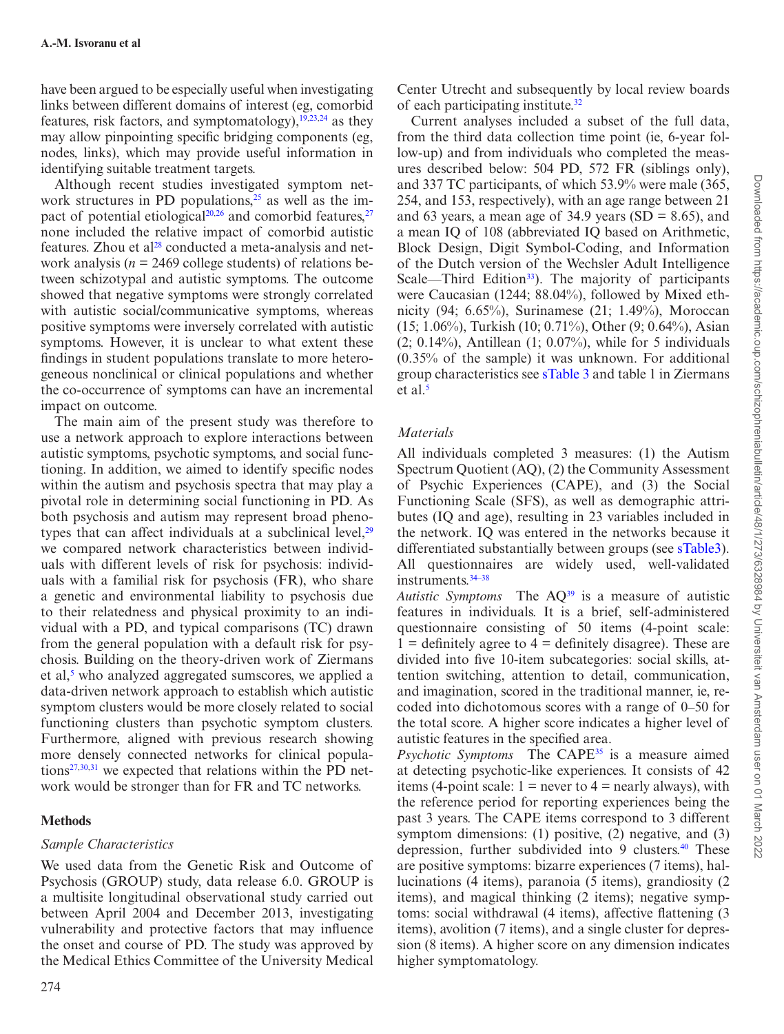have been argued to be especially useful when investigating links between different domains of interest (eg, comorbid features, risk factors, and symptomatology), $19,23,24$  $19,23,24$  $19,23,24$  as they may allow pinpointing specific bridging components (eg, nodes, links), which may provide useful information in identifying suitable treatment targets.

Although recent studies investigated symptom network structures in PD populations, $25$  as well as the im-pact of potential etiological<sup>[20,](#page-9-13)26</sup> and comorbid features,<sup>[27](#page-9-15)</sup> none included the relative impact of comorbid autistic features. Zhou et al<sup>28</sup> conducted a meta-analysis and network analysis ( $n = 2469$  college students) of relations between schizotypal and autistic symptoms. The outcome showed that negative symptoms were strongly correlated with autistic social/communicative symptoms, whereas positive symptoms were inversely correlated with autistic symptoms. However, it is unclear to what extent these findings in student populations translate to more heterogeneous nonclinical or clinical populations and whether the co-occurrence of symptoms can have an incremental impact on outcome.

The main aim of the present study was therefore to use a network approach to explore interactions between autistic symptoms, psychotic symptoms, and social functioning. In addition, we aimed to identify specific nodes within the autism and psychosis spectra that may play a pivotal role in determining social functioning in PD. As both psychosis and autism may represent broad phenotypes that can affect individuals at a subclinical level, $2^9$ we compared network characteristics between individuals with different levels of risk for psychosis: individuals with a familial risk for psychosis (FR), who share a genetic and environmental liability to psychosis due to their relatedness and physical proximity to an individual with a PD, and typical comparisons (TC) drawn from the general population with a default risk for psychosis. Building on the theory-driven work of Ziermans et al,<sup>5</sup> who analyzed aggregated sumscores, we applied a data-driven network approach to establish which autistic symptom clusters would be more closely related to social functioning clusters than psychotic symptom clusters. Furthermore, aligned with previous research showing more densely connected networks for clinical populations $27,30,31$  $27,30,31$  $27,30,31$  we expected that relations within the PD network would be stronger than for FR and TC networks.

#### **Methods**

#### *Sample Characteristics*

We used data from the Genetic Risk and Outcome of Psychosis (GROUP) study, data release 6.0. GROUP is a multisite longitudinal observational study carried out between April 2004 and December 2013, investigating vulnerability and protective factors that may influence the onset and course of PD. The study was approved by the Medical Ethics Committee of the University Medical

Center Utrecht and subsequently by local review boards of each participating institute.<sup>[32](#page-9-20)</sup>

Current analyses included a subset of the full data, from the third data collection time point (ie, 6-year follow-up) and from individuals who completed the measures described below: 504 PD, 572 FR (siblings only), and 337 TC participants, of which 53.9% were male (365, 254, and 153, respectively), with an age range between 21 and 63 years, a mean age of 34.9 years (SD = 8.65), and a mean IQ of 108 (abbreviated IQ based on Arithmetic, Block Design, Digit Symbol-Coding, and Information of the Dutch version of the Wechsler Adult Intelligence Scale—Third Edition<sup>[33](#page-9-21)</sup>). The majority of participants were Caucasian (1244; 88.04%), followed by Mixed ethnicity (94; 6.65%), Surinamese (21; 1.49%), Moroccan (15; 1.06%), Turkish (10; 0.71%), Other (9; 0.64%), Asian  $(2; 0.14\%)$ , Antillean  $(1; 0.07\%)$ , while for 5 individuals (0.35% of the sample) it was unknown. For additional group characteristics see [sTable 3](http://academic.oup.com/schizophreniabulletin/article-lookup/doi/10.1093/schbul/sbab084#supplementary-data) and table 1 in Ziermans et al.<sup>[5](#page-9-3)</sup>

### *Materials*

All individuals completed 3 measures: (1) the Autism Spectrum Quotient (AQ), (2) the Community Assessment of Psychic Experiences (CAPE), and (3) the Social Functioning Scale (SFS), as well as demographic attributes (IQ and age), resulting in 23 variables included in the network. IQ was entered in the networks because it differentiated substantially between groups (see [sTable3\)](http://academic.oup.com/schizophreniabulletin/article-lookup/doi/10.1093/schbul/sbab084#supplementary-data). All questionnaires are widely used, well-validated instruments.[34–](#page-9-22)[38](#page-10-0)

*Autistic Symptoms* The A[Q39](#page-10-1) is a measure of autistic features in individuals. It is a brief, self-administered questionnaire consisting of 50 items (4-point scale:  $1 =$  definitely agree to  $4 =$  definitely disagree). These are divided into five 10-item subcategories: social skills, attention switching, attention to detail, communication, and imagination, scored in the traditional manner, ie, recoded into dichotomous scores with a range of 0–50 for the total score. A higher score indicates a higher level of autistic features in the specified area.

*Psychotic Symptoms* The CAPE[35](#page-10-2) is a measure aimed at detecting psychotic-like experiences. It consists of 42 items (4-point scale:  $1 =$  never to  $4 =$  nearly always), with the reference period for reporting experiences being the past 3 years. The CAPE items correspond to 3 different symptom dimensions: (1) positive, (2) negative, and (3) depression, further subdivided into 9 clusters.<sup>40</sup> These are positive symptoms: bizarre experiences (7 items), hallucinations (4 items), paranoia (5 items), grandiosity (2 items), and magical thinking (2 items); negative symptoms: social withdrawal (4 items), affective flattening (3 items), avolition (7 items), and a single cluster for depression (8 items). A higher score on any dimension indicates higher symptomatology.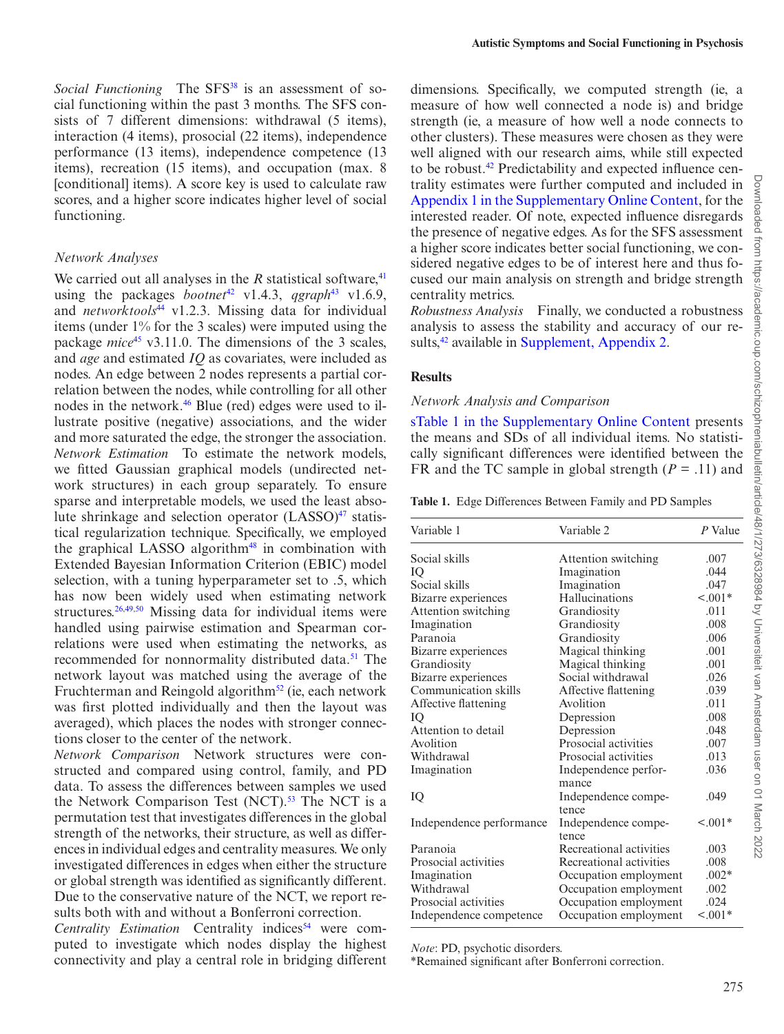*Social Functioning* The SFS<sup>38</sup> is an assessment of social functioning within the past 3 months. The SFS consists of 7 different dimensions: withdrawal (5 items), interaction (4 items), prosocial (22 items), independence performance (13 items), independence competence (13 items), recreation (15 items), and occupation (max. 8 [conditional] items). A score key is used to calculate raw scores, and a higher score indicates higher level of social functioning.

#### *Network Analyses*

We carried out all analyses in the  $R$  statistical software,  $41$ using the packages *bootnet*<sup>42</sup> v1.4.3, *qgraph*<sup>43</sup> v1.6.9, and *networktools*[44](#page-10-7) v1.2.3. Missing data for individual items (under 1% for the 3 scales) were imputed using the package *mice*<sup>[45](#page-10-8)</sup> v3.11.0. The dimensions of the 3 scales, and *age* and estimated *IQ* as covariates, were included as nodes. An edge between 2 nodes represents a partial correlation between the nodes, while controlling for all other nodes in the network.<sup>46</sup> Blue (red) edges were used to illustrate positive (negative) associations, and the wider and more saturated the edge, the stronger the association. *Network Estimation* To estimate the network models, we fitted Gaussian graphical models (undirected network structures) in each group separately. To ensure sparse and interpretable models, we used the least absolute shrinkage and selection operator  $(LASSO)<sup>47</sup>$  statistical regularization technique. Specifically, we employed the graphical LASSO algorithm<sup>48</sup> in combination with Extended Bayesian Information Criterion (EBIC) model selection, with a tuning hyperparameter set to .5, which has now been widely used when estimating network structures.<sup>[26](#page-9-14),[49,](#page-10-12)50</sup> Missing data for individual items were handled using pairwise estimation and Spearman correlations were used when estimating the networks, as recommended for nonnormality distributed data.<sup>51</sup> The network layout was matched using the average of the Fruchterman and Reingold algorithm<sup>[52](#page-10-15)</sup> (ie, each network was first plotted individually and then the layout was averaged), which places the nodes with stronger connections closer to the center of the network.

*Network Comparison* Network structures were constructed and compared using control, family, and PD data. To assess the differences between samples we used the Network Comparison Test  $(NCT)$ .<sup>53</sup> The NCT is a permutation test that investigates differences in the global strength of the networks, their structure, as well as differences in individual edges and centrality measures. We only investigated differences in edges when either the structure or global strength was identified as significantly different. Due to the conservative nature of the NCT, we report results both with and without a Bonferroni correction.

*Centrality Estimation* Centrality indices<sup>54</sup> were computed to investigate which nodes display the highest connectivity and play a central role in bridging different dimensions. Specifically, we computed strength (ie, a measure of how well connected a node is) and bridge strength (ie, a measure of how well a node connects to other clusters). These measures were chosen as they were well aligned with our research aims, while still expected to be robust[.42](#page-10-5) Predictability and expected influence centrality estimates were further computed and included in [Appendix 1 in the Supplementary Online Content](https://academic.oup.com/schizophreniabulletin/article-lookup/doi/10.1093/schbul/sbab084#supplementary-data), for the interested reader. Of note, expected influence disregards the presence of negative edges. As for the SFS assessment a higher score indicates better social functioning, we considered negative edges to be of interest here and thus focused our main analysis on strength and bridge strength centrality metrics.

*Robustness Analysis* Finally, we conducted a robustness analysis to assess the stability and accuracy of our re-sults,<sup>42</sup> available in [Supplement, Appendix 2.](http://academic.oup.com/schizophreniabulletin/article-lookup/doi/10.1093/schbul/sbab084#supplementary-data)

### **Results**

#### *Network Analysis and Comparison*

[sTable 1 in the Supplementary Online Content](http://academic.oup.com/schizophreniabulletin/article-lookup/doi/10.1093/schbul/sbab084#supplementary-data) presents the means and SDs of all individual items. No statistically significant differences were identified between the FR and the TC sample in global strength  $(P = .11)$  and

<span id="page-3-0"></span>**Table 1.** Edge Differences Between Family and PD Samples

| Variable 2              | P Value               |
|-------------------------|-----------------------|
| Attention switching     | .007                  |
| Imagination             | .044                  |
| Imagination             | .047                  |
| Hallucinations          | $1001*$               |
| Grandiosity             | .011                  |
| Grandiosity             | .008                  |
| Grandiosity             | .006                  |
| Magical thinking        | .001                  |
| Magical thinking        | .001                  |
| Social withdrawal       | .026                  |
| Affective flattening    | .039                  |
| Avolition               | .011                  |
| Depression              | .008                  |
| Depression              | .048                  |
| Prosocial activities    | .007                  |
| Prosocial activities    | .013                  |
| Independence perfor-    | .036                  |
| mance                   |                       |
| Independence compe-     | .049                  |
| tence                   |                       |
| Independence compe-     | $< 0.01*$             |
| tence                   |                       |
| Recreational activities | .003                  |
| Recreational activities | .008                  |
|                         | $.002*$               |
| Occupation employment   | .002                  |
| Occupation employment   | .024                  |
| Occupation employment   | $1001*$               |
|                         | Occupation employment |

*Note*: PD, psychotic disorders.

\*Remained significant after Bonferroni correction.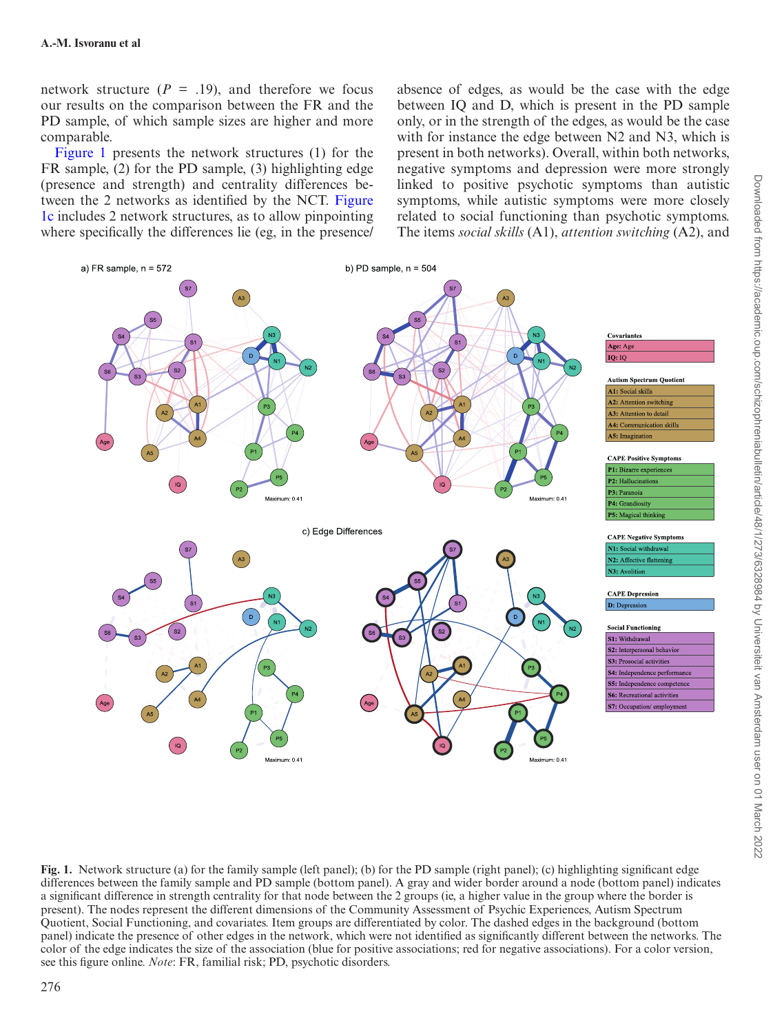network structure  $(P = .19)$ , and therefore we focus our results on the comparison between the FR and the PD sample, of which sample sizes are higher and more comparable.

[Figure 1](#page-4-0) presents the network structures (1) for the FR sample, (2) for the PD sample, (3) highlighting edge (presence and strength) and centrality differences between the 2 networks as identified by the NCT. [Figure](#page-4-0)  [1c](#page-4-0) includes 2 network structures, as to allow pinpointing where specifically the differences lie (eg, in the presence/ absence of edges, as would be the case with the edge between IQ and D, which is present in the PD sample only, or in the strength of the edges, as would be the case with for instance the edge between N2 and N3, which is present in both networks). Overall, within both networks, negative symptoms and depression were more strongly linked to positive psychotic symptoms than autistic symptoms, while autistic symptoms were more closely related to social functioning than psychotic symptoms. The items *social skills* (A1), *attention switching* (A2), and



<span id="page-4-0"></span>**Fig. 1.** Network structure (a) for the family sample (left panel); (b) for the PD sample (right panel); (c) highlighting significant edge differences between the family sample and PD sample (bottom panel). A gray and wider border around a node (bottom panel) indicates a significant difference in strength centrality for that node between the 2 groups (ie, a higher value in the group where the border is present). The nodes represent the different dimensions of the Community Assessment of Psychic Experiences, Autism Spectrum Quotient, Social Functioning, and covariates. Item groups are differentiated by color. The dashed edges in the background (bottom panel) indicate the presence of other edges in the network, which were not identified as significantly different between the networks. The color of the edge indicates the size of the association (blue for positive associations; red for negative associations). For a color version, see this figure online. *Note*: FR, familial risk; PD, psychotic disorders.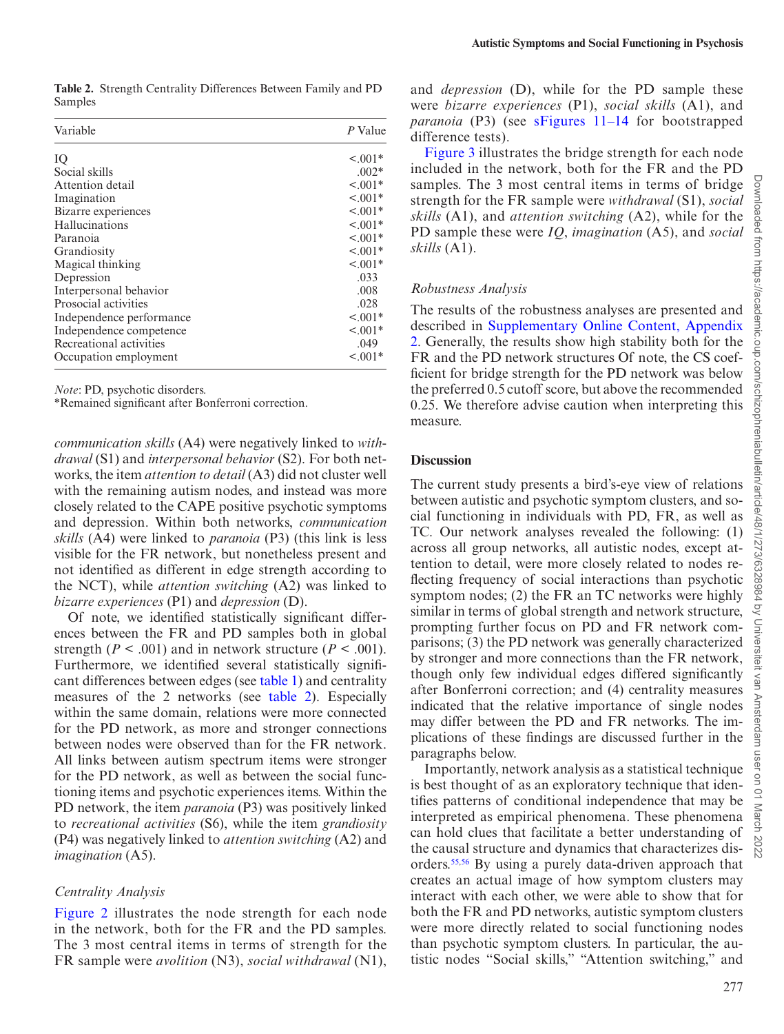<span id="page-5-0"></span>**Table 2.** Strength Centrality Differences Between Family and PD Samples

| Variable                 | P Value       |
|--------------------------|---------------|
| IQ                       | $< 0.01*$     |
| Social skills            | $.002*$       |
| Attention detail         | $< 0.01*$     |
| Imagination              | $< 0.01*$     |
| Bizarre experiences      | $< 0.01*$     |
| Hallucinations           | $< 0.01*$     |
| Paranoia                 | $\leq 0.001*$ |
| Grandiosity              | $< 0.01*$     |
| Magical thinking         | $1001*$       |
| Depression               | .033          |
| Interpersonal behavior   | .008          |
| Prosocial activities     | .028          |
| Independence performance | $1001*$       |
| Independence competence  | $< 0.001*$    |
| Recreational activities  | .049          |
| Occupation employment    | $< 0.001*$    |

*Note*: PD, psychotic disorders.

\*Remained significant after Bonferroni correction.

*communication skills* (A4) were negatively linked to *withdrawal* (S1) and *interpersonal behavior* (S2). For both networks, the item *attention to detail* (A3) did not cluster well with the remaining autism nodes, and instead was more closely related to the CAPE positive psychotic symptoms and depression. Within both networks, *communication skills* (A4) were linked to *paranoia* (P3) (this link is less visible for the FR network, but nonetheless present and not identified as different in edge strength according to the NCT), while *attention switching* (A2) was linked to *bizarre experiences* (P1) and *depression* (D).

Of note, we identified statistically significant differences between the FR and PD samples both in global strength ( $P < .001$ ) and in network structure ( $P < .001$ ). Furthermore, we identified several statistically significant differences between edges (see [table 1\)](#page-3-0) and centrality measures of the 2 networks (see [table 2](#page-5-0)). Especially within the same domain, relations were more connected for the PD network, as more and stronger connections between nodes were observed than for the FR network. All links between autism spectrum items were stronger for the PD network, as well as between the social functioning items and psychotic experiences items. Within the PD network, the item *paranoia* (P3) was positively linked to *recreational activities* (S6), while the item *grandiosity* (P4) was negatively linked to *attention switching* (A2) and *imagination* (A5).

#### *Centrality Analysis*

[Figure 2](#page-6-0) illustrates the node strength for each node in the network, both for the FR and the PD samples. The 3 most central items in terms of strength for the FR sample were *avolition* (N3), *social withdrawal* (N1), and *depression* (D), while for the PD sample these were *bizarre experiences* (P1), *social skills* (A1), and *paranoia* (P3) (see [sFigures 11–14](http://academic.oup.com/schizophreniabulletin/article-lookup/doi/10.1093/schbul/sbab084#supplementary-data) for bootstrapped difference tests).

[Figure 3](#page-6-1) illustrates the bridge strength for each node included in the network, both for the FR and the PD samples. The 3 most central items in terms of bridge strength for the FR sample were *withdrawal* (S1), *social skills* (A1), and *attention switching* (A2), while for the PD sample these were *IQ*, *imagination* (A5), and *social skills* (A1).

#### *Robustness Analysis*

The results of the robustness analyses are presented and described in [Supplementary Online Content, Appendix](http://academic.oup.com/schizophreniabulletin/article-lookup/doi/10.1093/schbul/sbab084#supplementary-data)  [2](http://academic.oup.com/schizophreniabulletin/article-lookup/doi/10.1093/schbul/sbab084#supplementary-data). Generally, the results show high stability both for the FR and the PD network structures Of note, the CS coefficient for bridge strength for the PD network was below the preferred 0.5 cutoff score, but above the recommended 0.25. We therefore advise caution when interpreting this measure.

#### **Discussion**

The current study presents a bird's-eye view of relations between autistic and psychotic symptom clusters, and social functioning in individuals with PD, FR, as well as TC. Our network analyses revealed the following: (1) across all group networks, all autistic nodes, except attention to detail, were more closely related to nodes reflecting frequency of social interactions than psychotic symptom nodes; (2) the FR an TC networks were highly similar in terms of global strength and network structure, prompting further focus on PD and FR network comparisons; (3) the PD network was generally characterized by stronger and more connections than the FR network, though only few individual edges differed significantly after Bonferroni correction; and (4) centrality measures indicated that the relative importance of single nodes may differ between the PD and FR networks. The implications of these findings are discussed further in the paragraphs below.

Importantly, network analysis as a statistical technique is best thought of as an exploratory technique that identifies patterns of conditional independence that may be interpreted as empirical phenomena. These phenomena can hold clues that facilitate a better understanding of the causal structure and dynamics that characterizes disorders.[55](#page-10-18)[,56](#page-10-19) By using a purely data-driven approach that creates an actual image of how symptom clusters may interact with each other, we were able to show that for both the FR and PD networks, autistic symptom clusters were more directly related to social functioning nodes than psychotic symptom clusters. In particular, the autistic nodes "Social skills," "Attention switching," and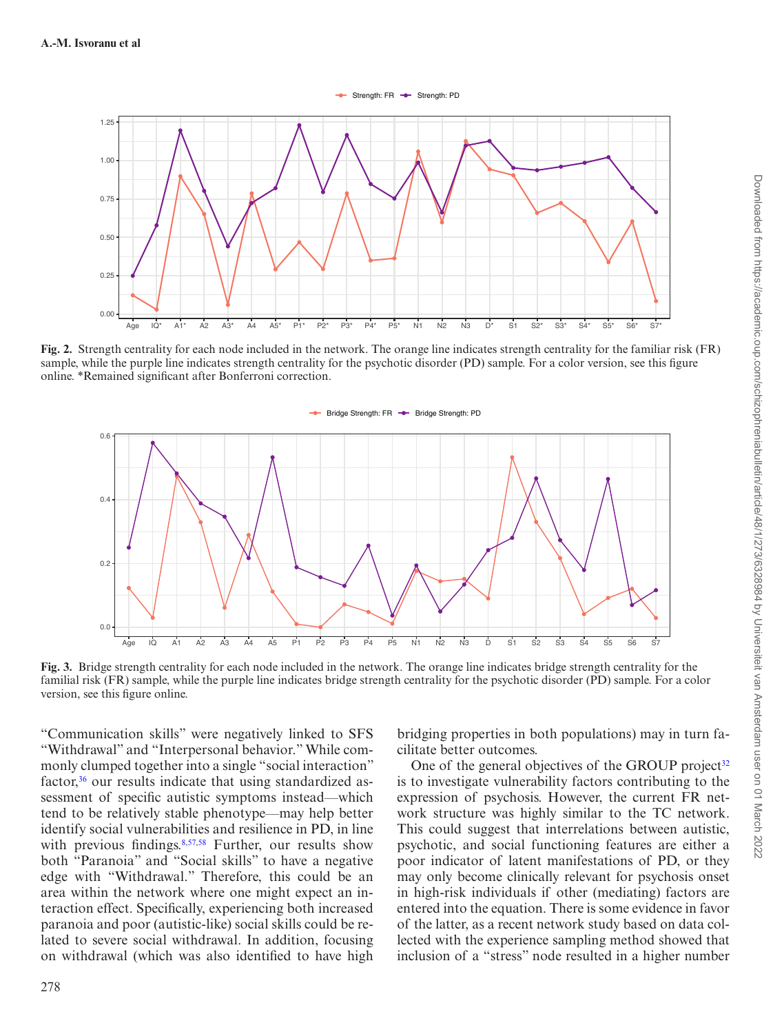#### Strength: FR - Strength: PD



**Fig. 2.** Strength centrality for each node included in the network. The orange line indicates strength centrality for the familiar risk (FR) sample, while the purple line indicates strength centrality for the psychotic disorder (PD) sample. For a color version, see this figure online. \*Remained significant after Bonferroni correction.

<span id="page-6-0"></span>

<span id="page-6-1"></span>**Fig. 3.** Bridge strength centrality for each node included in the network. The orange line indicates bridge strength centrality for the familial risk (FR) sample, while the purple line indicates bridge strength centrality for the psychotic disorder (PD) sample. For a color version, see this figure online.

"Communication skills" were negatively linked to SFS "Withdrawal" and "Interpersonal behavior." While commonly clumped together into a single "social interaction" factor,<sup>36</sup> our results indicate that using standardized assessment of specific autistic symptoms instead—which tend to be relatively stable phenotype—may help better identify social vulnerabilities and resilience in PD, in line with previous findings.<sup>[8,](#page-9-23)[57](#page-10-21)[,58](#page-10-22)</sup> Further, our results show both "Paranoia" and "Social skills" to have a negative edge with "Withdrawal." Therefore, this could be an area within the network where one might expect an interaction effect. Specifically, experiencing both increased paranoia and poor (autistic-like) social skills could be related to severe social withdrawal. In addition, focusing on withdrawal (which was also identified to have high

bridging properties in both populations) may in turn facilitate better outcomes.

One of the general objectives of the GROUP project<sup>[32](#page-9-20)</sup> is to investigate vulnerability factors contributing to the expression of psychosis. However, the current FR network structure was highly similar to the TC network. This could suggest that interrelations between autistic, psychotic, and social functioning features are either a poor indicator of latent manifestations of PD, or they may only become clinically relevant for psychosis onset in high-risk individuals if other (mediating) factors are entered into the equation. There is some evidence in favor of the latter, as a recent network study based on data collected with the experience sampling method showed that inclusion of a "stress" node resulted in a higher number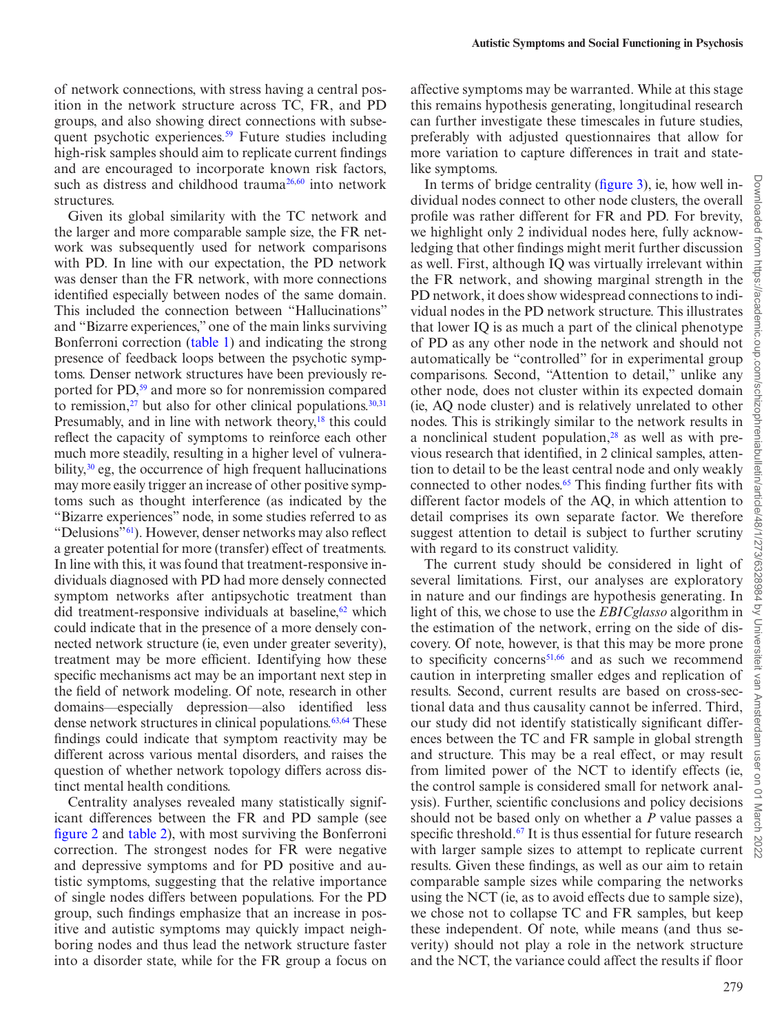of network connections, with stress having a central position in the network structure across TC, FR, and PD groups, and also showing direct connections with subsequent psychotic experiences.<sup>59</sup> Future studies including high-risk samples should aim to replicate current findings and are encouraged to incorporate known risk factors, such as distress and childhood trauma<sup>[26,](#page-9-14)60</sup> into network structures.

Given its global similarity with the TC network and the larger and more comparable sample size, the FR network was subsequently used for network comparisons with PD. In line with our expectation, the PD network was denser than the FR network, with more connections identified especially between nodes of the same domain. This included the connection between "Hallucinations" and "Bizarre experiences," one of the main links surviving Bonferroni correction [\(table 1](#page-3-0)) and indicating the strong presence of feedback loops between the psychotic symptoms. Denser network structures have been previously reported for PD,<sup>59</sup> and more so for nonremission compared to remission, $27$  but also for other clinical populations. $30,31$  $30,31$ Presumably, and in line with network theory,<sup>18</sup> this could reflect the capacity of symptoms to reinforce each other much more steadily, resulting in a higher level of vulnerability, $30$  eg, the occurrence of high frequent hallucinations may more easily trigger an increase of other positive symptoms such as thought interference (as indicated by the "Bizarre experiences" node, in some studies referred to as "Delusions"[61\)](#page-10-25). However, denser networks may also reflect a greater potential for more (transfer) effect of treatments. In line with this, it was found that treatment-responsive individuals diagnosed with PD had more densely connected symptom networks after antipsychotic treatment than did treatment-responsive individuals at baseline, $62$  which could indicate that in the presence of a more densely connected network structure (ie, even under greater severity), treatment may be more efficient. Identifying how these specific mechanisms act may be an important next step in the field of network modeling. Of note, research in other domains—especially depression—also identified less dense network structures in clinical populations. $63,64$  These findings could indicate that symptom reactivity may be different across various mental disorders, and raises the question of whether network topology differs across distinct mental health conditions.

Centrality analyses revealed many statistically significant differences between the FR and PD sample (see [figure 2](#page-6-0) and [table 2\)](#page-5-0), with most surviving the Bonferroni correction. The strongest nodes for FR were negative and depressive symptoms and for PD positive and autistic symptoms, suggesting that the relative importance of single nodes differs between populations. For the PD group, such findings emphasize that an increase in positive and autistic symptoms may quickly impact neighboring nodes and thus lead the network structure faster into a disorder state, while for the FR group a focus on affective symptoms may be warranted. While at this stage this remains hypothesis generating, longitudinal research can further investigate these timescales in future studies, preferably with adjusted questionnaires that allow for more variation to capture differences in trait and statelike symptoms.

In terms of bridge centrality [\(figure 3](#page-6-1)), ie, how well individual nodes connect to other node clusters, the overall profile was rather different for FR and PD. For brevity, we highlight only 2 individual nodes here, fully acknowledging that other findings might merit further discussion as well. First, although IQ was virtually irrelevant within the FR network, and showing marginal strength in the PD network, it does show widespread connections to individual nodes in the PD network structure. This illustrates that lower IQ is as much a part of the clinical phenotype of PD as any other node in the network and should not automatically be "controlled" for in experimental group comparisons. Second, "Attention to detail," unlike any other node, does not cluster within its expected domain (ie, AQ node cluster) and is relatively unrelated to other nodes. This is strikingly similar to the network results in a nonclinical student population, $28$  as well as with previous research that identified, in 2 clinical samples, attention to detail to be the least central node and only weakly connected to other nodes.<sup>65</sup> This finding further fits with different factor models of the AQ, in which attention to detail comprises its own separate factor. We therefore suggest attention to detail is subject to further scrutiny with regard to its construct validity.

The current study should be considered in light of several limitations. First, our analyses are exploratory in nature and our findings are hypothesis generating. In light of this, we chose to use the *EBICglasso* algorithm in the estimation of the network, erring on the side of discovery. Of note, however, is that this may be more prone to specificity concerns<sup>[51,](#page-10-14)66</sup> and as such we recommend caution in interpreting smaller edges and replication of results. Second, current results are based on cross-sectional data and thus causality cannot be inferred. Third, our study did not identify statistically significant differences between the TC and FR sample in global strength and structure. This may be a real effect, or may result from limited power of the NCT to identify effects (ie, the control sample is considered small for network analysis). Further, scientific conclusions and policy decisions should not be based only on whether a *P* value passes a specific threshold.<sup>67</sup> It is thus essential for future research with larger sample sizes to attempt to replicate current results. Given these findings, as well as our aim to retain comparable sample sizes while comparing the networks using the NCT (ie, as to avoid effects due to sample size), we chose not to collapse TC and FR samples, but keep these independent. Of note, while means (and thus severity) should not play a role in the network structure and the NCT, the variance could affect the results if floor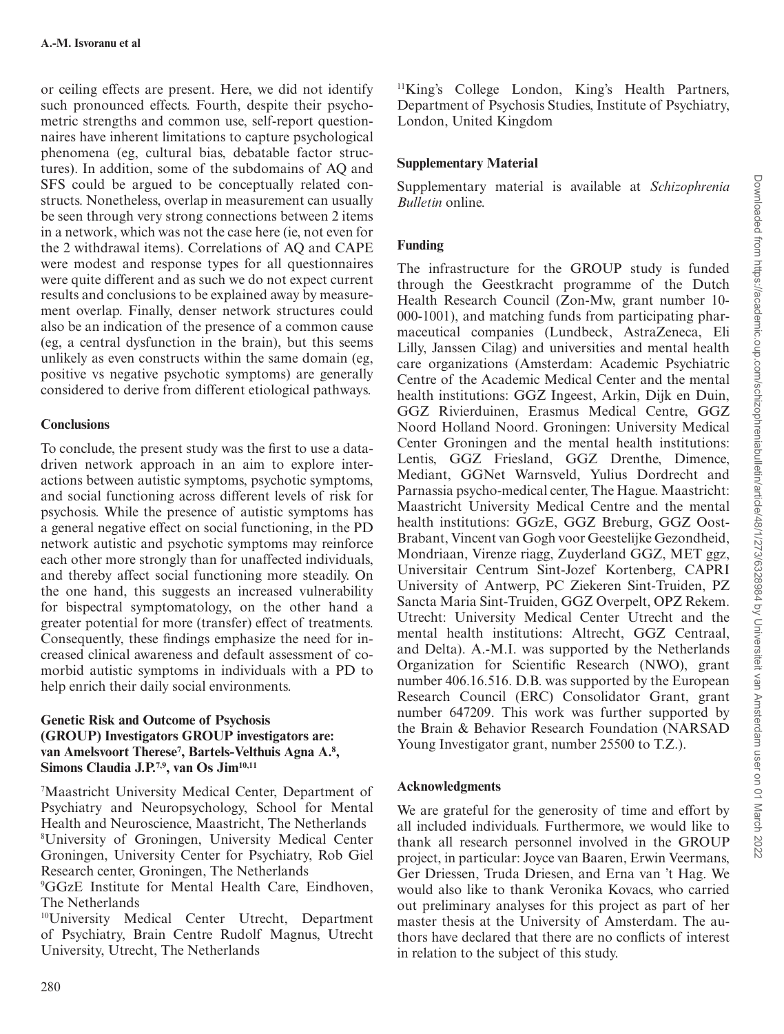or ceiling effects are present. Here, we did not identify such pronounced effects. Fourth, despite their psychometric strengths and common use, self-report questionnaires have inherent limitations to capture psychological phenomena (eg, cultural bias, debatable factor structures). In addition, some of the subdomains of AQ and SFS could be argued to be conceptually related constructs. Nonetheless, overlap in measurement can usually be seen through very strong connections between 2 items in a network, which was not the case here (ie, not even for the 2 withdrawal items). Correlations of AQ and CAPE were modest and response types for all questionnaires were quite different and as such we do not expect current results and conclusions to be explained away by measurement overlap. Finally, denser network structures could also be an indication of the presence of a common cause (eg, a central dysfunction in the brain), but this seems unlikely as even constructs within the same domain (eg, positive vs negative psychotic symptoms) are generally considered to derive from different etiological pathways.

### **Conclusions**

To conclude, the present study was the first to use a datadriven network approach in an aim to explore interactions between autistic symptoms, psychotic symptoms, and social functioning across different levels of risk for psychosis. While the presence of autistic symptoms has a general negative effect on social functioning, in the PD network autistic and psychotic symptoms may reinforce each other more strongly than for unaffected individuals, and thereby affect social functioning more steadily. On the one hand, this suggests an increased vulnerability for bispectral symptomatology, on the other hand a greater potential for more (transfer) effect of treatments. Consequently, these findings emphasize the need for increased clinical awareness and default assessment of comorbid autistic symptoms in individuals with a PD to help enrich their daily social environments.

#### **Genetic Risk and Outcome of Psychosis (GROUP) Investigators GROUP investigators are:**  van Amelsvoort Therese<sup>7</sup>, Bartels-Velthuis Agna A.<sup>8</sup>, Simons Claudia J.P.<sup>7,9</sup>, van Os Jim<sup>10,11</sup>

7 Maastricht University Medical Center, Department of Psychiatry and Neuropsychology, School for Mental Health and Neuroscience, Maastricht, The Netherlands 8 University of Groningen, University Medical Center Groningen, University Center for Psychiatry, Rob Giel Research center, Groningen, The Netherlands

9 GGzE Institute for Mental Health Care, Eindhoven, The Netherlands

10University Medical Center Utrecht, Department of Psychiatry, Brain Centre Rudolf Magnus, Utrecht University, Utrecht, The Netherlands

11King's College London, King's Health Partners, Department of Psychosis Studies, Institute of Psychiatry, London, United Kingdom

## **Supplementary Material**

Supplementary material is available at *Schizophrenia Bulletin* online.

# **Funding**

The infrastructure for the GROUP study is funded through the Geestkracht programme of the Dutch Health Research Council (Zon-Mw, grant number 10- 000-1001), and matching funds from participating pharmaceutical companies (Lundbeck, AstraZeneca, Eli Lilly, Janssen Cilag) and universities and mental health care organizations (Amsterdam: Academic Psychiatric Centre of the Academic Medical Center and the mental health institutions: GGZ Ingeest, Arkin, Dijk en Duin, GGZ Rivierduinen, Erasmus Medical Centre, GGZ Noord Holland Noord. Groningen: University Medical Center Groningen and the mental health institutions: Lentis, GGZ Friesland, GGZ Drenthe, Dimence, Mediant, GGNet Warnsveld, Yulius Dordrecht and Parnassia psycho-medical center, The Hague. Maastricht: Maastricht University Medical Centre and the mental health institutions: GGzE, GGZ Breburg, GGZ Oost-Brabant, Vincent van Gogh voor Geestelijke Gezondheid, Mondriaan, Virenze riagg, Zuyderland GGZ, MET ggz, Universitair Centrum Sint-Jozef Kortenberg, CAPRI University of Antwerp, PC Ziekeren Sint-Truiden, PZ Sancta Maria Sint-Truiden, GGZ Overpelt, OPZ Rekem. Utrecht: University Medical Center Utrecht and the mental health institutions: Altrecht, GGZ Centraal, and Delta). A.-M.I. was supported by the Netherlands Organization for Scientific Research (NWO), grant number 406.16.516. D.B. was supported by the European Research Council (ERC) Consolidator Grant, grant number 647209. This work was further supported by the Brain & Behavior Research Foundation (NARSAD Young Investigator grant, number 25500 to T.Z.).

### **Acknowledgments**

We are grateful for the generosity of time and effort by all included individuals. Furthermore, we would like to thank all research personnel involved in the GROUP project, in particular: Joyce van Baaren, Erwin Veermans, Ger Driessen, Truda Driesen, and Erna van 't Hag. We would also like to thank Veronika Kovacs, who carried out preliminary analyses for this project as part of her master thesis at the University of Amsterdam. The authors have declared that there are no conflicts of interest in relation to the subject of this study.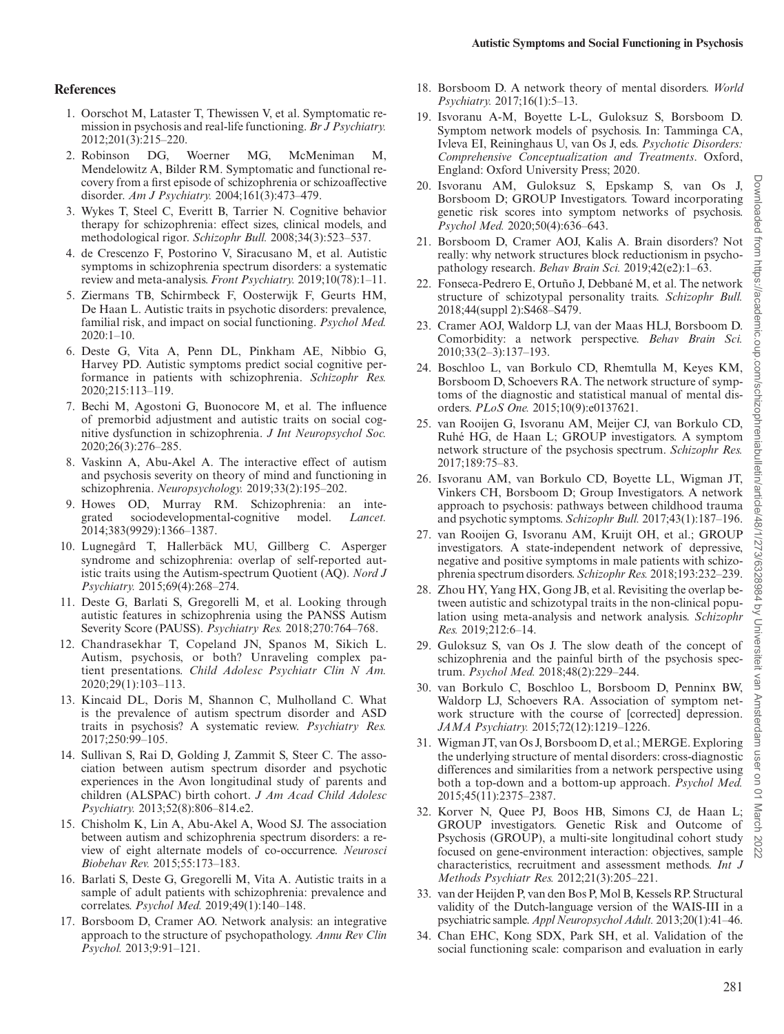#### **References**

- <span id="page-9-0"></span>1. Oorschot M, Lataster T, Thewissen V, et al. Symptomatic remission in psychosis and real-life functioning. *Br J Psychiatry.* 2012;201(3):215–220.
- 2. Robinson DG, Woerner MG, McMeniman M, Mendelowitz A, Bilder RM. Symptomatic and functional recovery from a first episode of schizophrenia or schizoaffective disorder. *Am J Psychiatry.* 2004;161(3):473–479.
- <span id="page-9-1"></span>3. Wykes T, Steel C, Everitt B, Tarrier N. Cognitive behavior therapy for schizophrenia: effect sizes, clinical models, and methodological rigor. *Schizophr Bull.* 2008;34(3):523–537.
- <span id="page-9-2"></span>4. de Crescenzo F, Postorino V, Siracusano M, et al. Autistic symptoms in schizophrenia spectrum disorders: a systematic review and meta-analysis. *Front Psychiatry.* 2019;10(78):1–11.
- <span id="page-9-3"></span>5. Ziermans TB, Schirmbeck F, Oosterwijk F, Geurts HM, De Haan L. Autistic traits in psychotic disorders: prevalence, familial risk, and impact on social functioning. *Psychol Med.* 2020:1–10.
- 6. Deste G, Vita A, Penn DL, Pinkham AE, Nibbio G, Harvey PD. Autistic symptoms predict social cognitive performance in patients with schizophrenia. *Schizophr Res.* 2020;215:113–119.
- 7. Bechi M, Agostoni G, Buonocore M, et al. The influence of premorbid adjustment and autistic traits on social cognitive dysfunction in schizophrenia. *J Int Neuropsychol Soc.* 2020;26(3):276–285.
- <span id="page-9-23"></span>8. Vaskinn A, Abu-Akel A. The interactive effect of autism and psychosis severity on theory of mind and functioning in schizophrenia. *Neuropsychology.* 2019;33(2):195–202.
- <span id="page-9-4"></span>9. Howes OD, Murray RM. Schizophrenia: an integrated sociodevelopmental-cognitive model. *Lancet*. sociodevelopmental-cognitive model. *Lancet.* 2014;383(9929):1366–1387.
- <span id="page-9-5"></span>10. Lugnegård T, Hallerbäck MU, Gillberg C. Asperger syndrome and schizophrenia: overlap of self-reported autistic traits using the Autism-spectrum Quotient (AQ). *Nord J Psychiatry.* 2015;69(4):268–274.
- 11. Deste G, Barlati S, Gregorelli M, et al. Looking through autistic features in schizophrenia using the PANSS Autism Severity Score (PAUSS). *Psychiatry Res.* 2018;270:764–768.
- 12. Chandrasekhar T, Copeland JN, Spanos M, Sikich L. Autism, psychosis, or both? Unraveling complex patient presentations. *Child Adolesc Psychiatr Clin N Am.* 2020;29(1):103–113.
- 13. Kincaid DL, Doris M, Shannon C, Mulholland C. What is the prevalence of autism spectrum disorder and ASD traits in psychosis? A systematic review. *Psychiatry Res.* 2017;250:99–105.
- 14. Sullivan S, Rai D, Golding J, Zammit S, Steer C. The association between autism spectrum disorder and psychotic experiences in the Avon longitudinal study of parents and children (ALSPAC) birth cohort. *J Am Acad Child Adolesc Psychiatry.* 2013;52(8):806–814.e2.
- 15. Chisholm K, Lin A, Abu-Akel A, Wood SJ. The association between autism and schizophrenia spectrum disorders: a review of eight alternate models of co-occurrence. *Neurosci Biobehav Rev.* 2015;55:173–183.
- <span id="page-9-6"></span>16. Barlati S, Deste G, Gregorelli M, Vita A. Autistic traits in a sample of adult patients with schizophrenia: prevalence and correlates. *Psychol Med.* 2019;49(1):140–148.
- <span id="page-9-7"></span>17. Borsboom D, Cramer AO. Network analysis: an integrative approach to the structure of psychopathology. *Annu Rev Clin Psychol.* 2013;9:91–121.
- <span id="page-9-24"></span>18. Borsboom D. A network theory of mental disorders. *World Psychiatry.* 2017;16(1):5–13.
- <span id="page-9-9"></span>19. Isvoranu A-M, Boyette L-L, Guloksuz S, Borsboom D. Symptom network models of psychosis. In: Tamminga CA, Ivleva EI, Reininghaus U, van Os J, eds. *Psychotic Disorders: Comprehensive Conceptualization and Treatments*. Oxford, England: Oxford University Press; 2020.
- <span id="page-9-13"></span>20. Isvoranu AM, Guloksuz S, Epskamp S, van Os J, Borsboom D; GROUP Investigators. Toward incorporating genetic risk scores into symptom networks of psychosis. *Psychol Med.* 2020;50(4):636–643.
- 21. Borsboom D, Cramer AOJ, Kalis A. Brain disorders? Not really: why network structures block reductionism in psychopathology research. *Behav Brain Sci.* 2019;42(e2):1–63.
- <span id="page-9-8"></span>22. Fonseca-Pedrero E, Ortuño J, Debbané M, et al. The network structure of schizotypal personality traits. *Schizophr Bull.* 2018;44(suppl 2):S468–S479.
- <span id="page-9-10"></span>23. Cramer AOJ, Waldorp LJ, van der Maas HLJ, Borsboom D. Comorbidity: a network perspective. *Behav Brain Sci.* 2010;33(2–3):137–193.
- <span id="page-9-11"></span>24. Boschloo L, van Borkulo CD, Rhemtulla M, Keyes KM, Borsboom D, Schoevers RA. The network structure of symptoms of the diagnostic and statistical manual of mental disorders. *PLoS One.* 2015;10(9):e0137621.
- <span id="page-9-12"></span>25. van Rooijen G, Isvoranu AM, Meijer CJ, van Borkulo CD, Ruhé HG, de Haan L; GROUP investigators. A symptom network structure of the psychosis spectrum. *Schizophr Res.* 2017;189:75–83.
- <span id="page-9-14"></span>26. Isvoranu AM, van Borkulo CD, Boyette LL, Wigman JT, Vinkers CH, Borsboom D; Group Investigators. A network approach to psychosis: pathways between childhood trauma and psychotic symptoms. *Schizophr Bull.* 2017;43(1):187–196.
- <span id="page-9-15"></span>27. van Rooijen G, Isvoranu AM, Kruijt OH, et al.; GROUP investigators. A state-independent network of depressive, negative and positive symptoms in male patients with schizophrenia spectrum disorders. *Schizophr Res.* 2018;193:232–239.
- <span id="page-9-16"></span>28. Zhou HY, Yang HX, Gong JB, et al. Revisiting the overlap between autistic and schizotypal traits in the non-clinical population using meta-analysis and network analysis. *Schizophr Res.* 2019;212:6–14.
- <span id="page-9-17"></span>29. Guloksuz S, van Os J. The slow death of the concept of schizophrenia and the painful birth of the psychosis spectrum. *Psychol Med.* 2018;48(2):229–244.
- <span id="page-9-18"></span>30. van Borkulo C, Boschloo L, Borsboom D, Penninx BW, Waldorp LJ, Schoevers RA. Association of symptom network structure with the course of [corrected] depression. *JAMA Psychiatry.* 2015;72(12):1219–1226.
- <span id="page-9-19"></span>31. Wigman JT, van Os J, Borsboom D, et al.; MERGE. Exploring the underlying structure of mental disorders: cross-diagnostic differences and similarities from a network perspective using both a top-down and a bottom-up approach. *Psychol Med.* 2015;45(11):2375–2387.
- <span id="page-9-20"></span>32. Korver N, Quee PJ, Boos HB, Simons CJ, de Haan L; GROUP investigators. Genetic Risk and Outcome of Psychosis (GROUP), a multi-site longitudinal cohort study focused on gene-environment interaction: objectives, sample characteristics, recruitment and assessment methods. *Int J Methods Psychiatr Res.* 2012;21(3):205–221.
- <span id="page-9-21"></span>33. van der Heijden P, van den Bos P, Mol B, Kessels RP. Structural validity of the Dutch-language version of the WAIS-III in a psychiatric sample. *Appl Neuropsychol Adult.* 2013;20(1):41–46.
- <span id="page-9-22"></span>34. Chan EHC, Kong SDX, Park SH, et al. Validation of the social functioning scale: comparison and evaluation in early